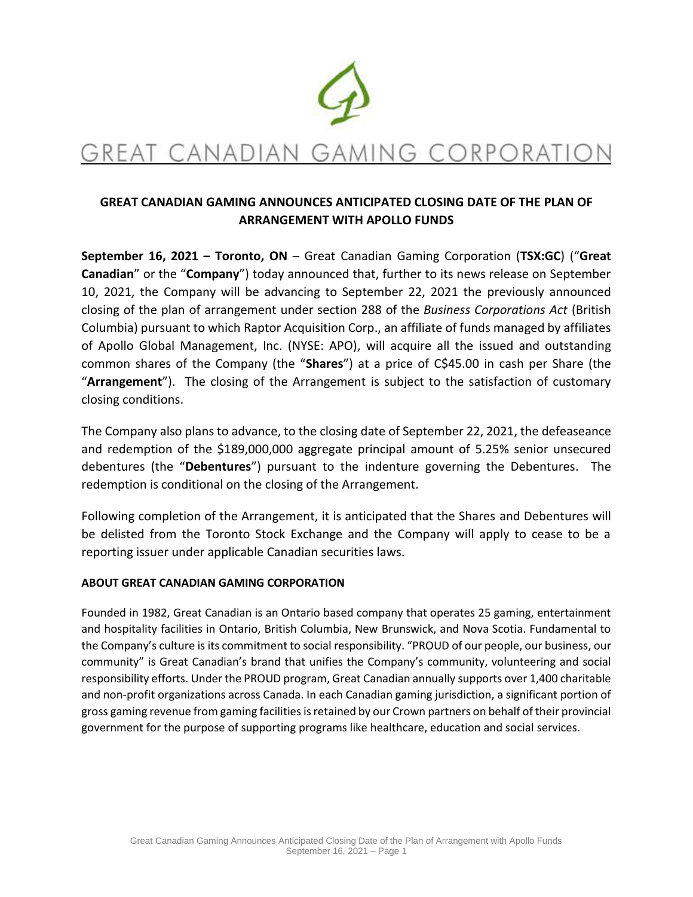

# GREAT CANADIAN GAMING CORPORATION

# **GREAT CANADIAN GAMING ANNOUNCES ANTICIPATED CLOSING DATE OF THE PLAN OF ARRANGEMENT WITH APOLLO FUNDS**

**September 16, 2021 – Toronto, ON** – Great Canadian Gaming Corporation (**TSX:GC**) ("**Great Canadian**" or the "**Company**") today announced that, further to its news release on September 10, 2021, the Company will be advancing to September 22, 2021 the previously announced closing of the plan of arrangement under section 288 of the *Business Corporations Act* (British Columbia) pursuant to which Raptor Acquisition Corp., an affiliate of funds managed by affiliates of Apollo Global Management, Inc. (NYSE: APO), will acquire all the issued and outstanding common shares of the Company (the "**Shares**") at a price of C\$45.00 in cash per Share (the "**Arrangement**"). The closing of the Arrangement is subject to the satisfaction of customary closing conditions.

The Company also plans to advance, to the closing date of September 22, 2021, the defeaseance and redemption of the \$189,000,000 aggregate principal amount of 5.25% senior unsecured debentures (the "**Debentures**") pursuant to the indenture governing the Debentures. The redemption is conditional on the closing of the Arrangement.

Following completion of the Arrangement, it is anticipated that the Shares and Debentures will be delisted from the Toronto Stock Exchange and the Company will apply to cease to be a reporting issuer under applicable Canadian securities laws.

## **ABOUT GREAT CANADIAN GAMING CORPORATION**

Founded in 1982, Great Canadian is an Ontario based company that operates 25 gaming, entertainment and hospitality facilities in Ontario, British Columbia, New Brunswick, and Nova Scotia. Fundamental to the Company's culture is its commitment to social responsibility. "PROUD of our people, our business, our community" is Great Canadian's brand that unifies the Company's community, volunteering and social responsibility efforts. Under the PROUD program, Great Canadian annually supports over 1,400 charitable and non-profit organizations across Canada. In each Canadian gaming jurisdiction, a significant portion of gross gaming revenue from gaming facilities is retained by our Crown partners on behalf of their provincial government for the purpose of supporting programs like healthcare, education and social services.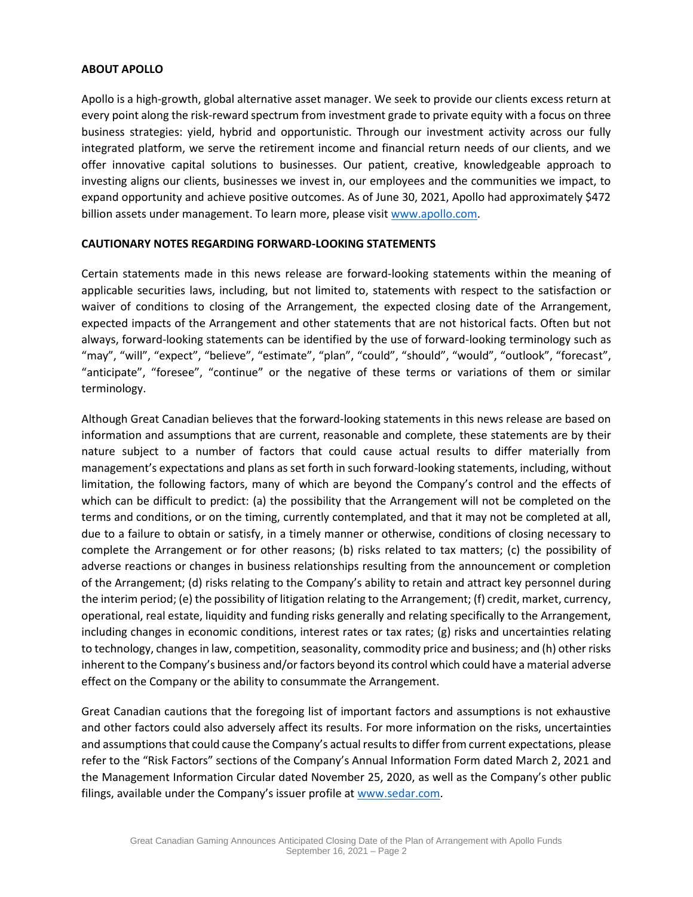## **ABOUT APOLLO**

Apollo is a high-growth, global alternative asset manager. We seek to provide our clients excess return at every point along the risk-reward spectrum from investment grade to private equity with a focus on three business strategies: yield, hybrid and opportunistic. Through our investment activity across our fully integrated platform, we serve the retirement income and financial return needs of our clients, and we offer innovative capital solutions to businesses. Our patient, creative, knowledgeable approach to investing aligns our clients, businesses we invest in, our employees and the communities we impact, to expand opportunity and achieve positive outcomes. As of June 30, 2021, Apollo had approximately \$472 billion assets under management. To learn more, please visi[t www.apollo.com.](http://www.apollo.com/)

#### **CAUTIONARY NOTES REGARDING FORWARD-LOOKING STATEMENTS**

Certain statements made in this news release are forward-looking statements within the meaning of applicable securities laws, including, but not limited to, statements with respect to the satisfaction or waiver of conditions to closing of the Arrangement, the expected closing date of the Arrangement, expected impacts of the Arrangement and other statements that are not historical facts. Often but not always, forward-looking statements can be identified by the use of forward-looking terminology such as "may", "will", "expect", "believe", "estimate", "plan", "could", "should", "would", "outlook", "forecast", "anticipate", "foresee", "continue" or the negative of these terms or variations of them or similar terminology.

Although Great Canadian believes that the forward-looking statements in this news release are based on information and assumptions that are current, reasonable and complete, these statements are by their nature subject to a number of factors that could cause actual results to differ materially from management's expectations and plans as set forth in such forward-looking statements, including, without limitation, the following factors, many of which are beyond the Company's control and the effects of which can be difficult to predict: (a) the possibility that the Arrangement will not be completed on the terms and conditions, or on the timing, currently contemplated, and that it may not be completed at all, due to a failure to obtain or satisfy, in a timely manner or otherwise, conditions of closing necessary to complete the Arrangement or for other reasons; (b) risks related to tax matters; (c) the possibility of adverse reactions or changes in business relationships resulting from the announcement or completion of the Arrangement; (d) risks relating to the Company's ability to retain and attract key personnel during the interim period; (e) the possibility of litigation relating to the Arrangement; (f) credit, market, currency, operational, real estate, liquidity and funding risks generally and relating specifically to the Arrangement, including changes in economic conditions, interest rates or tax rates; (g) risks and uncertainties relating to technology, changes in law, competition, seasonality, commodity price and business; and (h) other risks inherent to the Company's business and/or factors beyond its control which could have a material adverse effect on the Company or the ability to consummate the Arrangement.

Great Canadian cautions that the foregoing list of important factors and assumptions is not exhaustive and other factors could also adversely affect its results. For more information on the risks, uncertainties and assumptions that could cause the Company's actual results to differ from current expectations, please refer to the "Risk Factors" sections of the Company's Annual Information Form dated March 2, 2021 and the Management Information Circular dated November 25, 2020, as well as the Company's other public filings, available under the Company's issuer profile at [www.sedar.com.](http://www.sedar.com/)